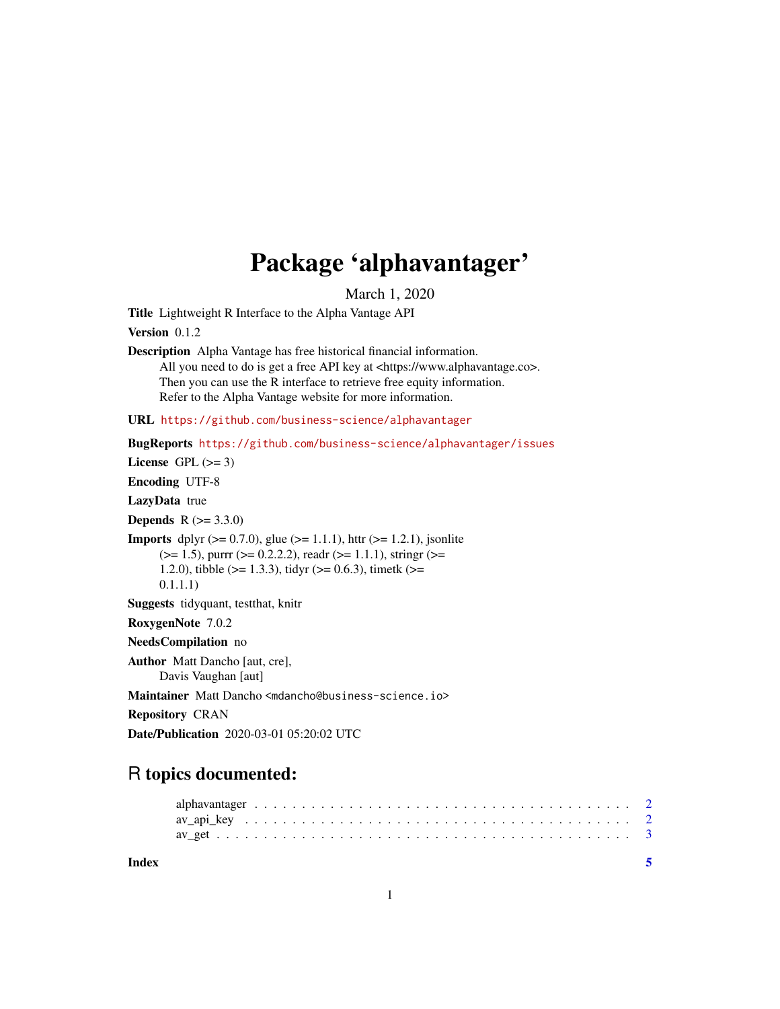## Package 'alphavantager'

March 1, 2020

Title Lightweight R Interface to the Alpha Vantage API

Version 0.1.2

Description Alpha Vantage has free historical financial information. All you need to do is get a free API key at <https://www.alphavantage.co>. Then you can use the R interface to retrieve free equity information. Refer to the Alpha Vantage website for more information.

URL <https://github.com/business-science/alphavantager>

BugReports <https://github.com/business-science/alphavantager/issues>

License GPL  $(>= 3)$ 

Encoding UTF-8

LazyData true

**Depends**  $R (= 3.3.0)$ 

**Imports** dplyr  $(>= 0.7.0)$ , glue  $(>= 1.1.1)$ , httr  $(>= 1.2.1)$ , jsonlite  $(>= 1.5)$ , purrr  $(>= 0.2.2.2)$ , readr  $(>= 1.1.1)$ , stringr  $(>= 1.5)$ 1.2.0), tibble ( $>= 1.3.3$ ), tidyr ( $>= 0.6.3$ ), timetk ( $>= 1.3.3$ ) 0.1.1.1)

Suggests tidyquant, testthat, knitr

RoxygenNote 7.0.2

NeedsCompilation no

Author Matt Dancho [aut, cre], Davis Vaughan [aut]

Maintainer Matt Dancho <mdancho@business-science.io>

Repository CRAN

Date/Publication 2020-03-01 05:20:02 UTC

### R topics documented:

**Index** [5](#page-4-0). The second state of the second state of the second state of the second state of the second state of the second state of the second state of the second state of the second state of the second state of the second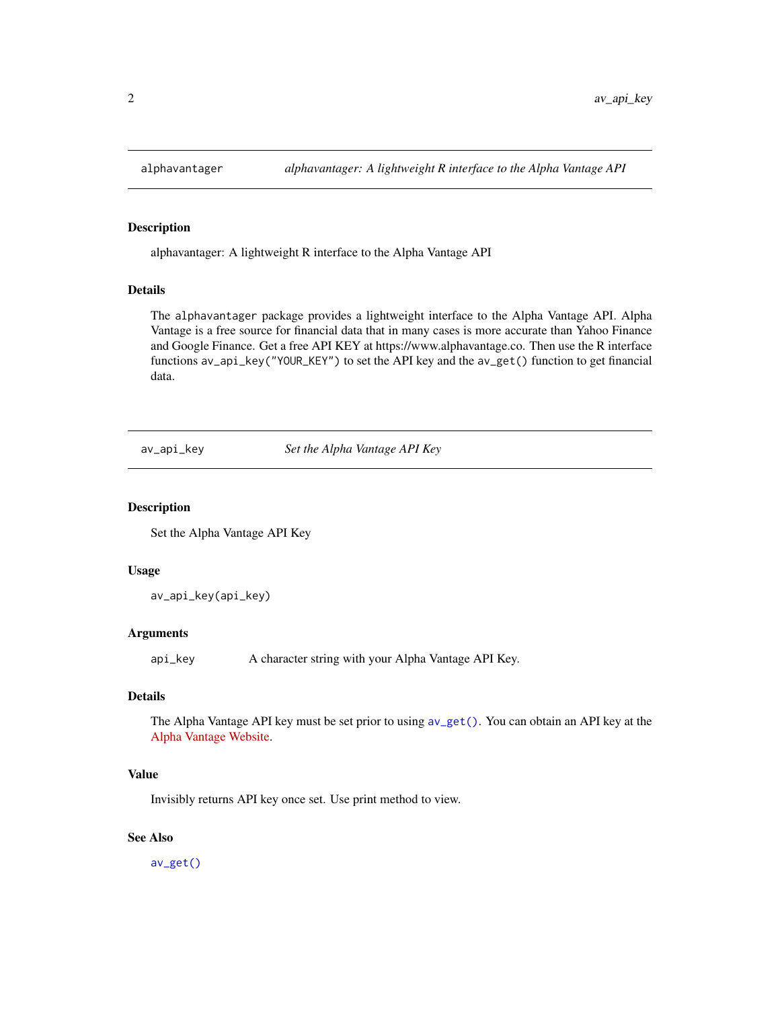<span id="page-1-0"></span>

#### Description

alphavantager: A lightweight R interface to the Alpha Vantage API

#### Details

The alphavantager package provides a lightweight interface to the Alpha Vantage API. Alpha Vantage is a free source for financial data that in many cases is more accurate than Yahoo Finance and Google Finance. Get a free API KEY at https://www.alphavantage.co. Then use the R interface functions av\_api\_key("YOUR\_KEY") to set the API key and the av\_get() function to get financial data.

<span id="page-1-1"></span>av\_api\_key *Set the Alpha Vantage API Key*

#### Description

Set the Alpha Vantage API Key

#### Usage

av\_api\_key(api\_key)

#### Arguments

api\_key A character string with your Alpha Vantage API Key.

#### Details

The Alpha Vantage API key must be set prior to using [av\\_get\(\)](#page-2-1). You can obtain an API key at the [Alpha Vantage Website.](https://www.alphavantage.co/)

#### Value

Invisibly returns API key once set. Use print method to view.

#### See Also

[av\\_get\(\)](#page-2-1)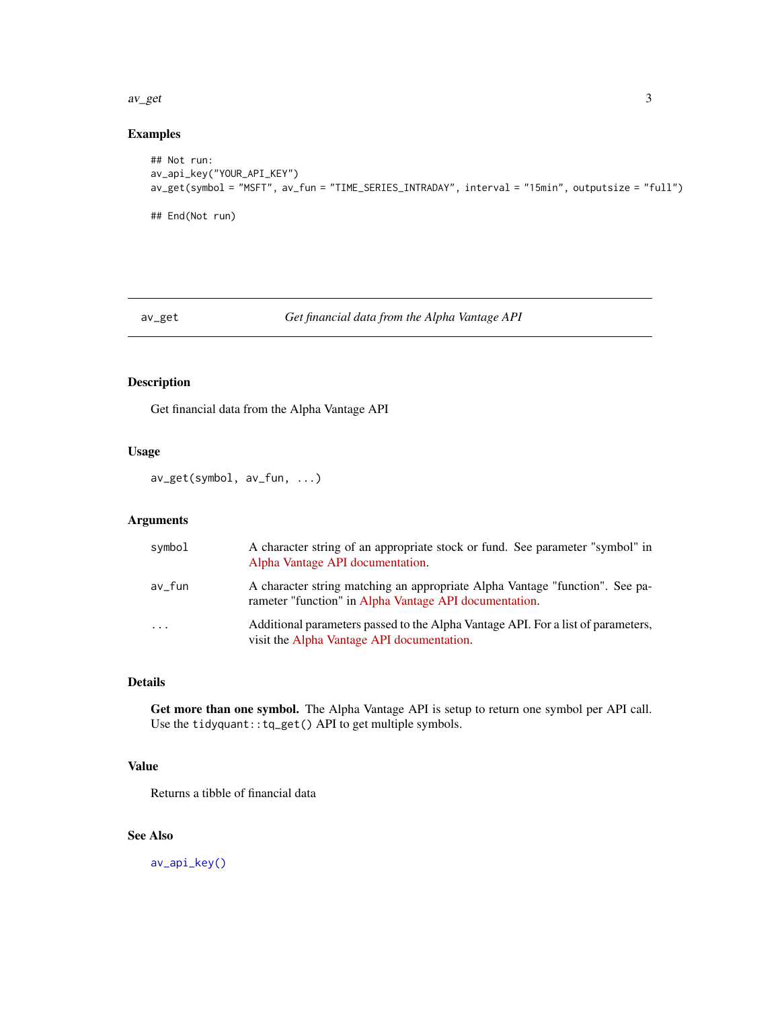#### <span id="page-2-0"></span> $\alpha$  average  $\alpha$  3

#### Examples

```
## Not run:
av_api_key("YOUR_API_KEY")
av_get(symbol = "MSFT", av_fun = "TIME_SERIES_INTRADAY", interval = "15min", outputsize = "full")
## End(Not run)
```
#### <span id="page-2-1"></span>av\_get *Get financial data from the Alpha Vantage API*

#### **Description**

Get financial data from the Alpha Vantage API

#### Usage

av\_get(symbol, av\_fun, ...)

#### Arguments

| symbol   | A character string of an appropriate stock or fund. See parameter "symbol" in<br>Alpha Vantage API documentation.                      |
|----------|----------------------------------------------------------------------------------------------------------------------------------------|
| av_fun   | A character string matching an appropriate Alpha Vantage "function". See pa-<br>rameter "function" in Alpha Vantage API documentation. |
| $\cdots$ | Additional parameters passed to the Alpha Vantage API. For a list of parameters,<br>visit the Alpha Vantage API documentation.         |

#### Details

Get more than one symbol. The Alpha Vantage API is setup to return one symbol per API call. Use the tidyquant::tq\_get() API to get multiple symbols.

#### Value

Returns a tibble of financial data

#### See Also

[av\\_api\\_key\(\)](#page-1-1)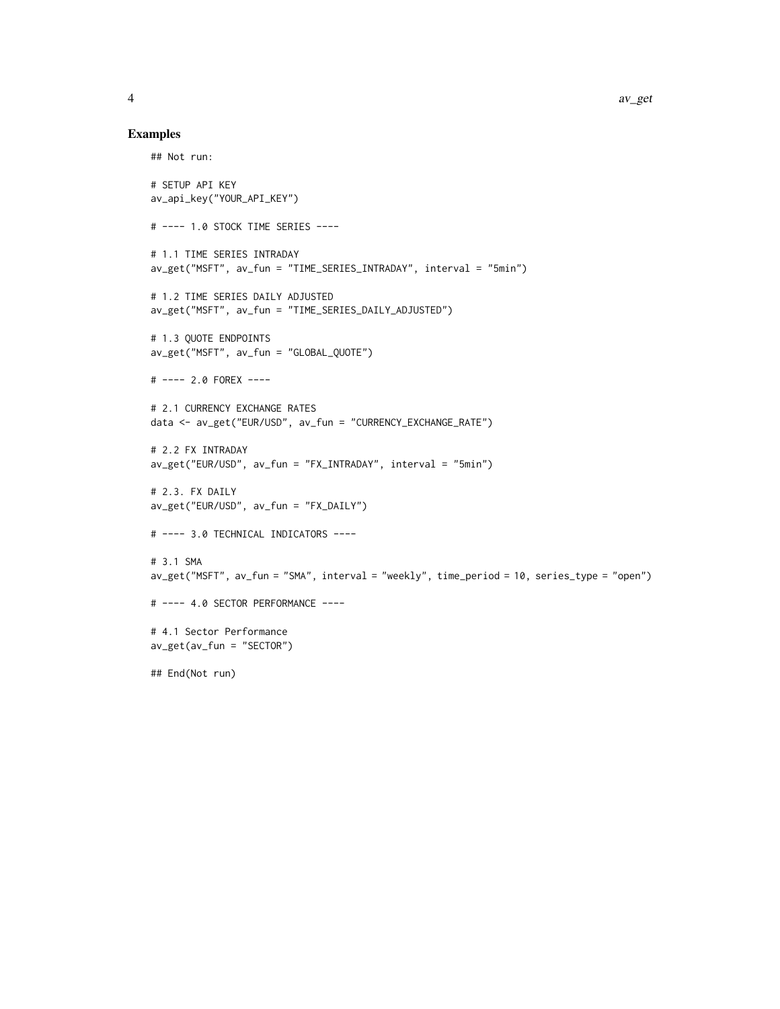#### Examples

```
## Not run:
# SETUP API KEY
av_api_key("YOUR_API_KEY")
# ---- 1.0 STOCK TIME SERIES ----
# 1.1 TIME SERIES INTRADAY
av_get("MSFT", av_fun = "TIME_SERIES_INTRADAY", interval = "5min")
# 1.2 TIME SERIES DAILY ADJUSTED
av_get("MSFT", av_fun = "TIME_SERIES_DAILY_ADJUSTED")
# 1.3 QUOTE ENDPOINTS
av_get("MSFT", av_fun = "GLOBAL_QUOTE")
# ---- 2.0 FOREX ----
# 2.1 CURRENCY EXCHANGE RATES
data <- av_get("EUR/USD", av_fun = "CURRENCY_EXCHANGE_RATE")
# 2.2 FX INTRADAY
av_get("EUR/USD", av_fun = "FX_INTRADAY", interval = "5min")
# 2.3. FX DAILY
av_get("EUR/USD", av_fun = "FX_DAILY")
# ---- 3.0 TECHNICAL INDICATORS ----
# 3.1 SMA
av_get("MSFT", av_fun = "SMA", interval = "weekly", time_period = 10, series_type = "open")
# ---- 4.0 SECTOR PERFORMANCE ----
# 4.1 Sector Performance
av_get(av_fun = "SECTOR")
## End(Not run)
```